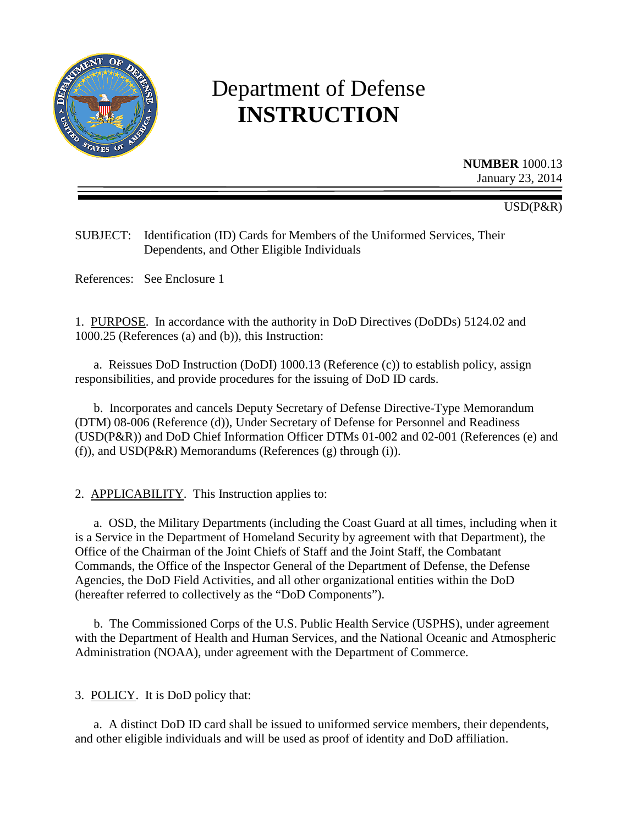

# Department of Defense **INSTRUCTION**

**NUMBER** 1000.13 January 23, 2014

#### USD(P&R)

SUBJECT: Identification (ID) Cards for Members of the Uniformed Services, Their Dependents, and Other Eligible Individuals

References: See Enclosure 1

1. PURPOSE. In accordance with the authority in DoD Directives (DoDDs) 5124.02 and 1000.25 (References (a) and (b)), this Instruction:

a. Reissues DoD Instruction (DoDI) 1000.13 (Reference (c)) to establish policy, assign responsibilities, and provide procedures for the issuing of DoD ID cards.

b. Incorporates and cancels Deputy Secretary of Defense Directive-Type Memorandum (DTM) 08-006 (Reference (d)), Under Secretary of Defense for Personnel and Readiness (USD(P&R)) and DoD Chief Information Officer DTMs 01-002 and 02-001 (References (e) and (f)), and USD(P&R) Memorandums (References (g) through (i)).

2. APPLICABILITY. This Instruction applies to:

a. OSD, the Military Departments (including the Coast Guard at all times, including when it is a Service in the Department of Homeland Security by agreement with that Department), the Office of the Chairman of the Joint Chiefs of Staff and the Joint Staff, the Combatant Commands, the Office of the Inspector General of the Department of Defense, the Defense Agencies, the DoD Field Activities, and all other organizational entities within the DoD (hereafter referred to collectively as the "DoD Components").

b. The Commissioned Corps of the U.S. Public Health Service (USPHS), under agreement with the Department of Health and Human Services, and the National Oceanic and Atmospheric Administration (NOAA), under agreement with the Department of Commerce.

3. POLICY. It is DoD policy that:

a. A distinct DoD ID card shall be issued to uniformed service members, their dependents, and other eligible individuals and will be used as proof of identity and DoD affiliation.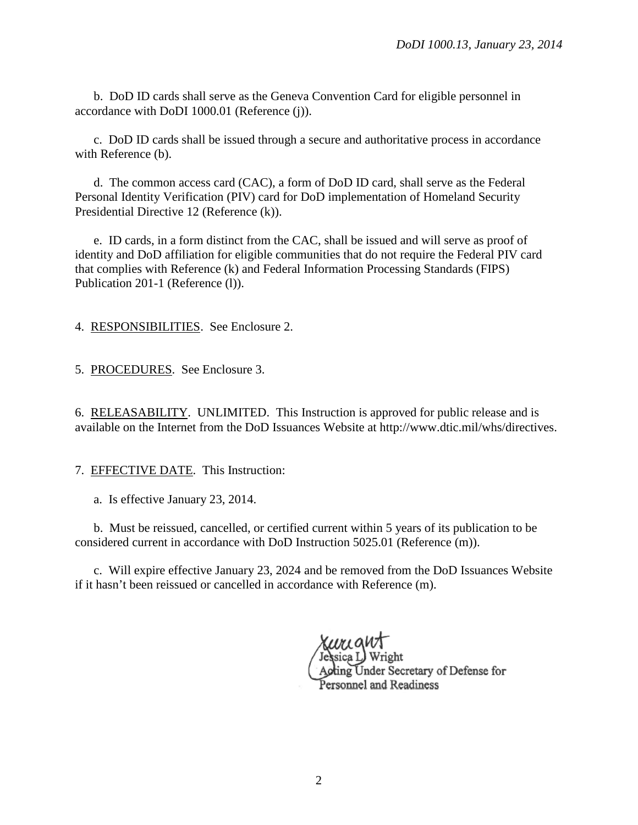b. DoD ID cards shall serve as the Geneva Convention Card for eligible personnel in accordance with DoDI 1000.01 (Reference (j)).

c. DoD ID cards shall be issued through a secure and authoritative process in accordance with Reference (b).

d. The common access card (CAC), a form of DoD ID card, shall serve as the Federal Personal Identity Verification (PIV) card for DoD implementation of Homeland Security Presidential Directive 12 (Reference (k)).

e. ID cards, in a form distinct from the CAC, shall be issued and will serve as proof of identity and DoD affiliation for eligible communities that do not require the Federal PIV card that complies with Reference (k) and Federal Information Processing Standards (FIPS) Publication 201-1 (Reference (l)).

4. RESPONSIBILITIES. See Enclosure 2.

5. PROCEDURES. See Enclosure 3.

6. RELEASABILITY. UNLIMITED. This Instruction is approved for public release and is available on the Internet from the DoD Issuances Website at http://www.dtic.mil/whs/directives.

7. EFFECTIVE DATE. This Instruction:

a. Is effective January 23, 2014.

b. Must be reissued, cancelled, or certified current within 5 years of its publication to be considered current in accordance with DoD Instruction 5025.01 (Reference (m)).

c. Will expire effective January 23, 2024 and be removed from the DoD Issuances Website if it hasn't been reissued or cancelled in accordance with Reference (m).

Acting Under Secretary of Defense for Personnel and Readiness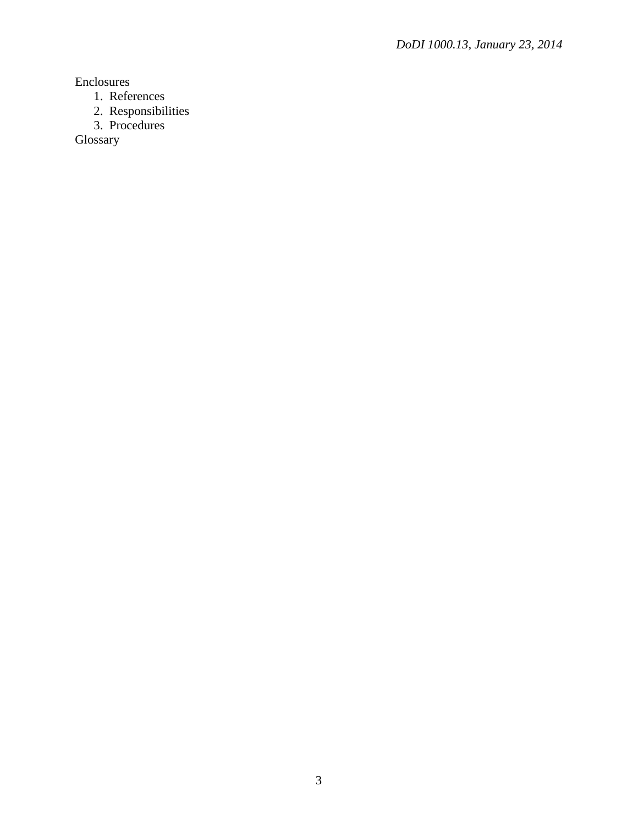Enclosures

- 1. References
- 2. Responsibilities
- 3. Procedures

Glossary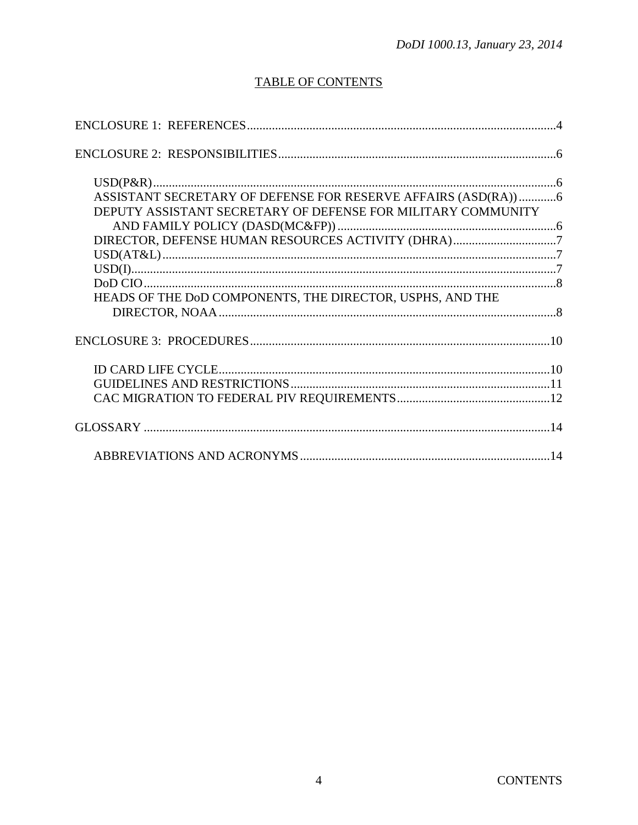## **TABLE OF CONTENTS**

| ASSISTANT SECRETARY OF DEFENSE FOR RESERVE AFFAIRS (ASD(RA))6 |  |
|---------------------------------------------------------------|--|
| DEPUTY ASSISTANT SECRETARY OF DEFENSE FOR MILITARY COMMUNITY  |  |
|                                                               |  |
|                                                               |  |
|                                                               |  |
|                                                               |  |
|                                                               |  |
| HEADS OF THE DOD COMPONENTS, THE DIRECTOR, USPHS, AND THE     |  |
|                                                               |  |
|                                                               |  |
|                                                               |  |
|                                                               |  |
|                                                               |  |
|                                                               |  |
|                                                               |  |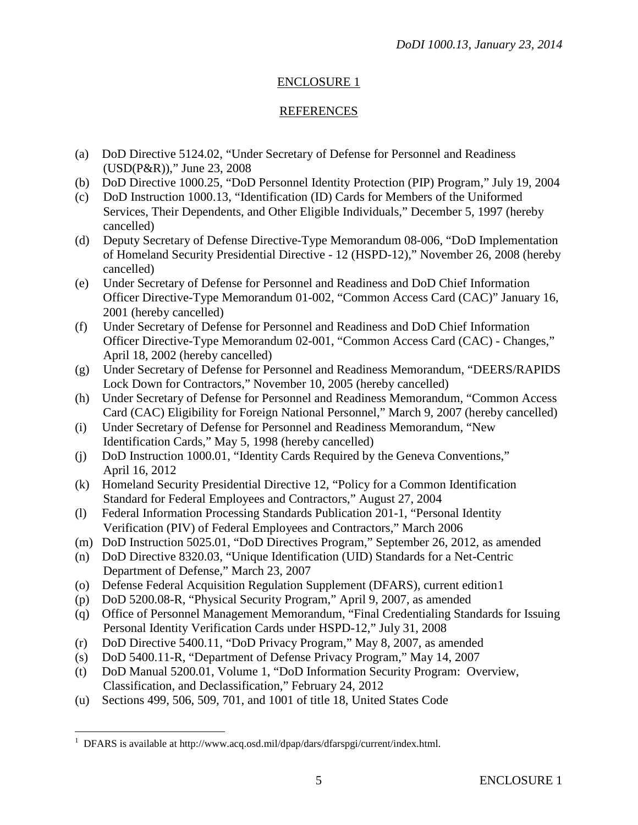#### ENCLOSURE 1

#### REFERENCES

- (a) DoD Directive 5124.02, "Under Secretary of Defense for Personnel and Readiness (USD(P&R))," June 23, 2008
- (b) DoD Directive 1000.25, "DoD Personnel Identity Protection (PIP) Program," July 19, 2004
- (c) DoD Instruction 1000.13, "Identification (ID) Cards for Members of the Uniformed Services, Their Dependents, and Other Eligible Individuals," December 5, 1997 (hereby cancelled)
- (d) Deputy Secretary of Defense Directive-Type Memorandum 08-006, "DoD Implementation of Homeland Security Presidential Directive - 12 (HSPD-12)," November 26, 2008 (hereby cancelled)
- (e) Under Secretary of Defense for Personnel and Readiness and DoD Chief Information Officer Directive-Type Memorandum 01-002, "Common Access Card (CAC)" January 16, 2001 (hereby cancelled)
- (f) Under Secretary of Defense for Personnel and Readiness and DoD Chief Information Officer Directive-Type Memorandum 02-001, "Common Access Card (CAC) - Changes," April 18, 2002 (hereby cancelled)
- (g) Under Secretary of Defense for Personnel and Readiness Memorandum, "DEERS/RAPIDS Lock Down for Contractors," November 10, 2005 (hereby cancelled)
- (h) Under Secretary of Defense for Personnel and Readiness Memorandum, "Common Access Card (CAC) Eligibility for Foreign National Personnel," March 9, 2007 (hereby cancelled)
- (i) Under Secretary of Defense for Personnel and Readiness Memorandum, "New Identification Cards," May 5, 1998 (hereby cancelled)
- (j) DoD Instruction 1000.01, "Identity Cards Required by the Geneva Conventions," April 16, 2012
- (k) Homeland Security Presidential Directive 12, "Policy for a Common Identification Standard for Federal Employees and Contractors," August 27, 2004
- (l) Federal Information Processing Standards Publication 201-1, "Personal Identity Verification (PIV) of Federal Employees and Contractors," March 2006
- (m) DoD Instruction 5025.01, "DoD Directives Program," September 26, 2012, as amended
- (n) DoD Directive 8320.03, "Unique Identification (UID) Standards for a Net-Centric Department of Defense," March 23, 2007
- (o) Defense Federal Acquisition Regulation Supplement (DFARS), current edition[1](#page-4-0)
- (p) DoD 5200.08-R, "Physical Security Program," April 9, 2007, as amended
- (q) Office of Personnel Management Memorandum, "Final Credentialing Standards for Issuing Personal Identity Verification Cards under HSPD-12," July 31, 2008
- (r) DoD Directive 5400.11, "DoD Privacy Program," May 8, 2007, as amended
- (s) DoD 5400.11-R, "Department of Defense Privacy Program," May 14, 2007
- (t) DoD Manual 5200.01, Volume 1, "DoD Information Security Program: Overview, Classification, and Declassification," February 24, 2012
- (u) Sections 499, 506, 509, 701, and 1001 of title 18, United States Code

<span id="page-4-0"></span> $\frac{1}{1}$ <sup>1</sup> DFARS is available at http://www.acq.osd.mil/dpap/dars/dfarspgi/current/index.html.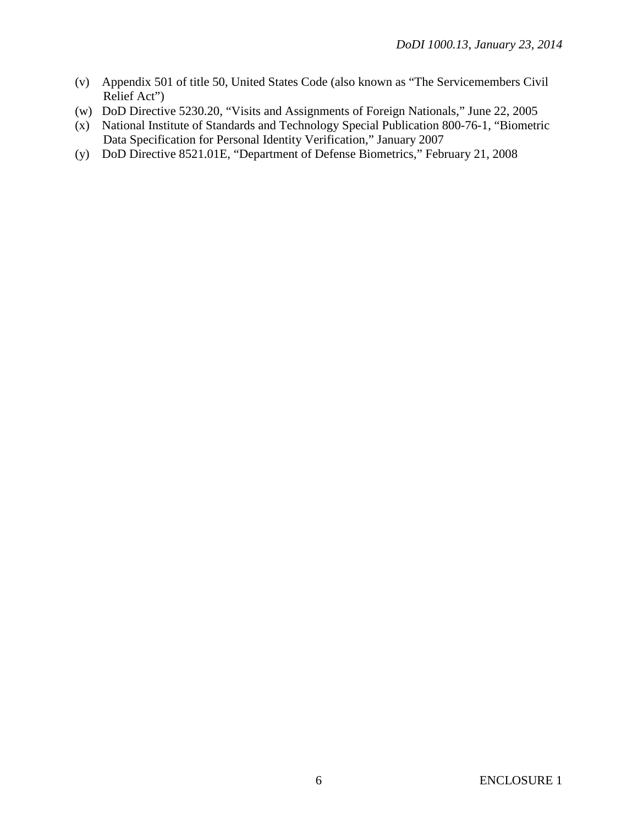- (v) Appendix 501 of title 50, United States Code (also known as "The Servicemembers Civil Relief Act")
- (w) DoD Directive 5230.20, "Visits and Assignments of Foreign Nationals," June 22, 2005
- (x) National Institute of Standards and Technology Special Publication 800-76-1, "Biometric Data Specification for Personal Identity Verification," January 2007
- (y) DoD Directive 8521.01E, "Department of Defense Biometrics," February 21, 2008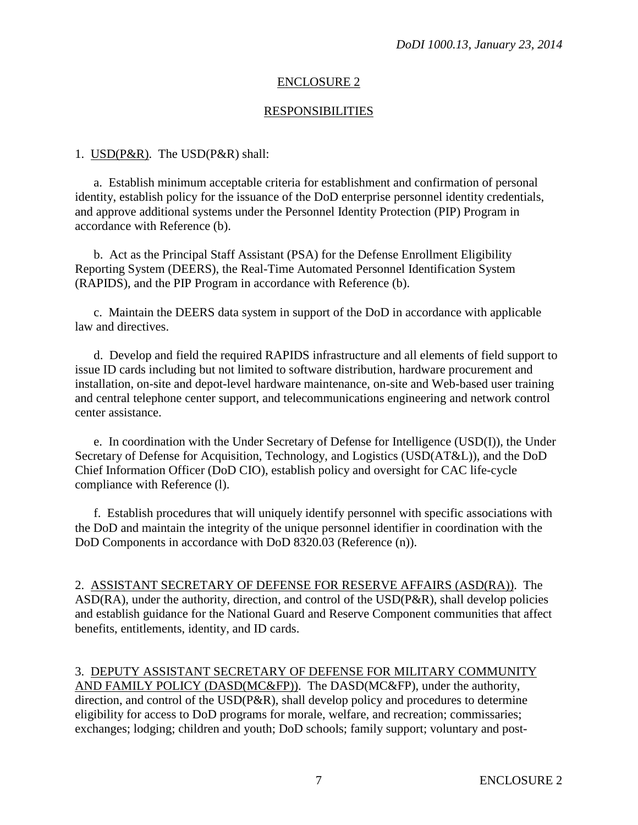#### ENCLOSURE 2

#### RESPONSIBILITIES

#### 1. USD(P&R). The USD(P&R) shall:

a. Establish minimum acceptable criteria for establishment and confirmation of personal identity, establish policy for the issuance of the DoD enterprise personnel identity credentials, and approve additional systems under the Personnel Identity Protection (PIP) Program in accordance with Reference (b).

b. Act as the Principal Staff Assistant (PSA) for the Defense Enrollment Eligibility Reporting System (DEERS), the Real-Time Automated Personnel Identification System (RAPIDS), and the PIP Program in accordance with Reference (b).

c. Maintain the DEERS data system in support of the DoD in accordance with applicable law and directives.

d. Develop and field the required RAPIDS infrastructure and all elements of field support to issue ID cards including but not limited to software distribution, hardware procurement and installation, on-site and depot-level hardware maintenance, on-site and Web-based user training and central telephone center support, and telecommunications engineering and network control center assistance.

e. In coordination with the Under Secretary of Defense for Intelligence (USD(I)), the Under Secretary of Defense for Acquisition, Technology, and Logistics (USD(AT&L)), and the DoD Chief Information Officer (DoD CIO), establish policy and oversight for CAC life-cycle compliance with Reference (l).

f. Establish procedures that will uniquely identify personnel with specific associations with the DoD and maintain the integrity of the unique personnel identifier in coordination with the DoD Components in accordance with DoD 8320.03 (Reference (n)).

2. ASSISTANT SECRETARY OF DEFENSE FOR RESERVE AFFAIRS (ASD(RA)). The ASD(RA), under the authority, direction, and control of the USD(P&R), shall develop policies and establish guidance for the National Guard and Reserve Component communities that affect benefits, entitlements, identity, and ID cards.

#### 3. DEPUTY ASSISTANT SECRETARY OF DEFENSE FOR MILITARY COMMUNITY AND FAMILY POLICY (DASD(MC&FP)). The DASD(MC&FP), under the authority, direction, and control of the USD(P&R), shall develop policy and procedures to determine

eligibility for access to DoD programs for morale, welfare, and recreation; commissaries; exchanges; lodging; children and youth; DoD schools; family support; voluntary and post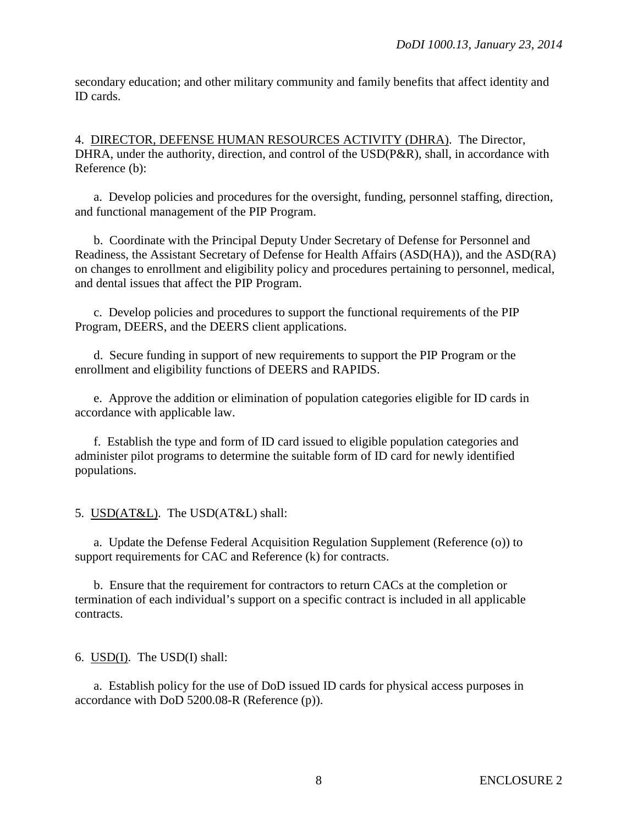secondary education; and other military community and family benefits that affect identity and ID cards.

4. DIRECTOR, DEFENSE HUMAN RESOURCES ACTIVITY (DHRA). The Director, DHRA, under the authority, direction, and control of the USD(P&R), shall, in accordance with Reference (b):

a. Develop policies and procedures for the oversight, funding, personnel staffing, direction, and functional management of the PIP Program.

b. Coordinate with the Principal Deputy Under Secretary of Defense for Personnel and Readiness, the Assistant Secretary of Defense for Health Affairs (ASD(HA)), and the ASD(RA) on changes to enrollment and eligibility policy and procedures pertaining to personnel, medical, and dental issues that affect the PIP Program.

c. Develop policies and procedures to support the functional requirements of the PIP Program, DEERS, and the DEERS client applications.

d. Secure funding in support of new requirements to support the PIP Program or the enrollment and eligibility functions of DEERS and RAPIDS.

e. Approve the addition or elimination of population categories eligible for ID cards in accordance with applicable law.

f. Establish the type and form of ID card issued to eligible population categories and administer pilot programs to determine the suitable form of ID card for newly identified populations.

5. USD(AT&L). The USD(AT&L) shall:

a. Update the Defense Federal Acquisition Regulation Supplement (Reference (o)) to support requirements for CAC and Reference (k) for contracts.

b. Ensure that the requirement for contractors to return CACs at the completion or termination of each individual's support on a specific contract is included in all applicable contracts.

6. USD(I). The USD(I) shall:

a. Establish policy for the use of DoD issued ID cards for physical access purposes in accordance with DoD 5200.08-R (Reference (p)).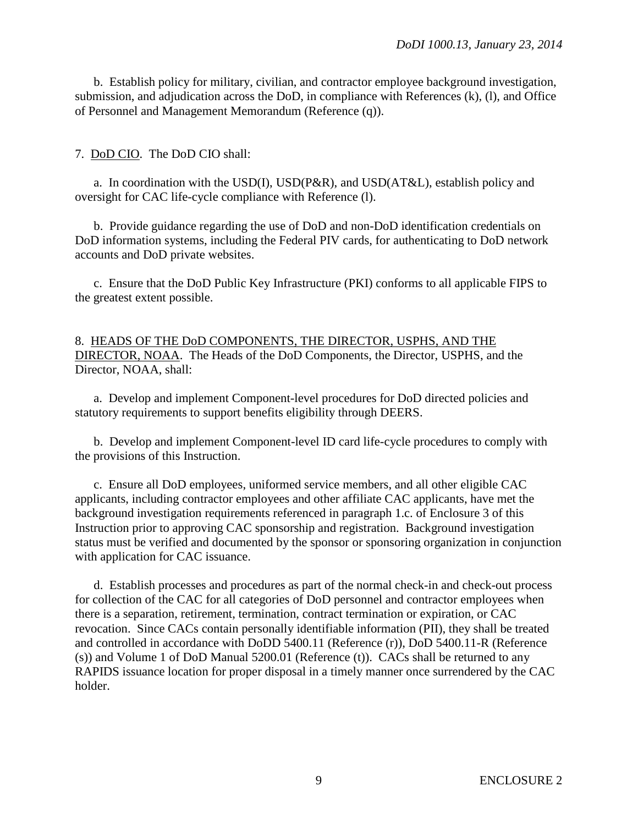b. Establish policy for military, civilian, and contractor employee background investigation, submission, and adjudication across the DoD, in compliance with References (k), (l), and Office of Personnel and Management Memorandum (Reference (q)).

#### 7. DoD CIO. The DoD CIO shall:

a. In coordination with the USD(I), USD(P&R), and USD(AT&L), establish policy and oversight for CAC life-cycle compliance with Reference (l).

b. Provide guidance regarding the use of DoD and non-DoD identification credentials on DoD information systems, including the Federal PIV cards, for authenticating to DoD network accounts and DoD private websites.

c. Ensure that the DoD Public Key Infrastructure (PKI) conforms to all applicable FIPS to the greatest extent possible.

8. HEADS OF THE DoD COMPONENTS, THE DIRECTOR, USPHS, AND THE DIRECTOR, NOAA. The Heads of the DoD Components, the Director, USPHS, and the Director, NOAA, shall:

a. Develop and implement Component-level procedures for DoD directed policies and statutory requirements to support benefits eligibility through DEERS.

b. Develop and implement Component-level ID card life-cycle procedures to comply with the provisions of this Instruction.

c. Ensure all DoD employees, uniformed service members, and all other eligible CAC applicants, including contractor employees and other affiliate CAC applicants, have met the background investigation requirements referenced in paragraph 1.c. of Enclosure 3 of this Instruction prior to approving CAC sponsorship and registration. Background investigation status must be verified and documented by the sponsor or sponsoring organization in conjunction with application for CAC issuance.

d. Establish processes and procedures as part of the normal check-in and check-out process for collection of the CAC for all categories of DoD personnel and contractor employees when there is a separation, retirement, termination, contract termination or expiration, or CAC revocation. Since CACs contain personally identifiable information (PII), they shall be treated and controlled in accordance with DoDD 5400.11 (Reference (r)), DoD 5400.11-R (Reference (s)) and Volume 1 of DoD Manual 5200.01 (Reference (t)). CACs shall be returned to any RAPIDS issuance location for proper disposal in a timely manner once surrendered by the CAC holder.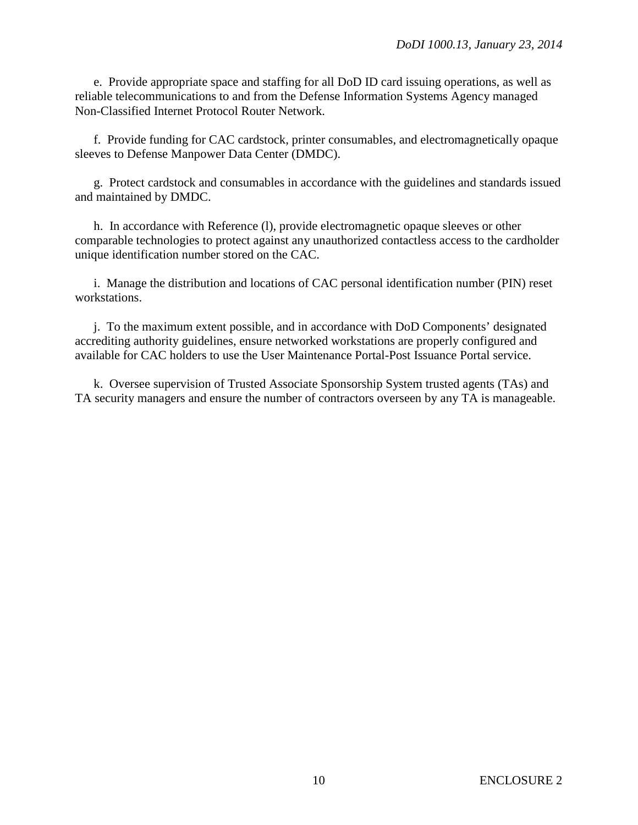e. Provide appropriate space and staffing for all DoD ID card issuing operations, as well as reliable telecommunications to and from the Defense Information Systems Agency managed Non-Classified Internet Protocol Router Network.

f. Provide funding for CAC cardstock, printer consumables, and electromagnetically opaque sleeves to Defense Manpower Data Center (DMDC).

g. Protect cardstock and consumables in accordance with the guidelines and standards issued and maintained by DMDC.

h. In accordance with Reference (l), provide electromagnetic opaque sleeves or other comparable technologies to protect against any unauthorized contactless access to the cardholder unique identification number stored on the CAC.

i. Manage the distribution and locations of CAC personal identification number (PIN) reset workstations.

j. To the maximum extent possible, and in accordance with DoD Components' designated accrediting authority guidelines, ensure networked workstations are properly configured and available for CAC holders to use the User Maintenance Portal-Post Issuance Portal service.

k. Oversee supervision of Trusted Associate Sponsorship System trusted agents (TAs) and TA security managers and ensure the number of contractors overseen by any TA is manageable.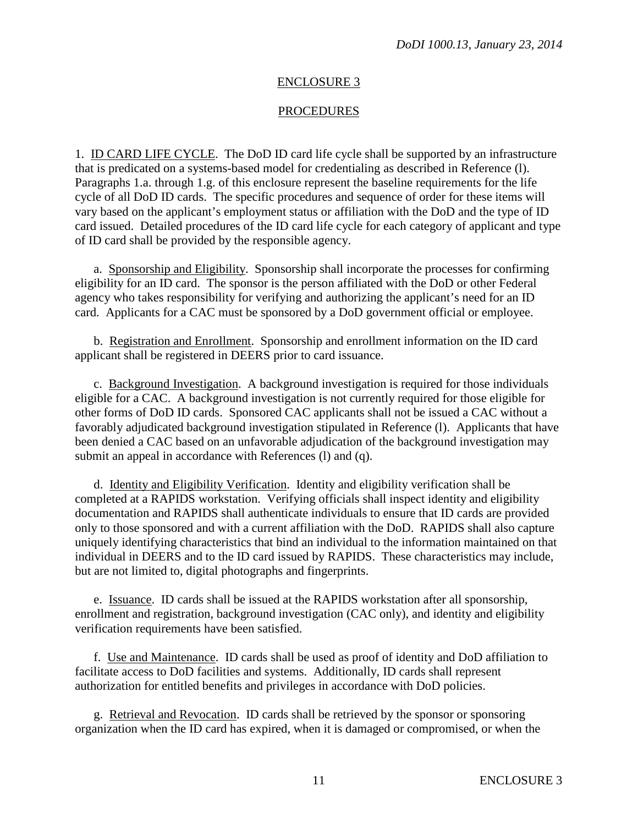#### ENCLOSURE 3

#### PROCEDURES

1. ID CARD LIFE CYCLE. The DoD ID card life cycle shall be supported by an infrastructure that is predicated on a systems-based model for credentialing as described in Reference (l). Paragraphs 1.a. through 1.g. of this enclosure represent the baseline requirements for the life cycle of all DoD ID cards. The specific procedures and sequence of order for these items will vary based on the applicant's employment status or affiliation with the DoD and the type of ID card issued. Detailed procedures of the ID card life cycle for each category of applicant and type of ID card shall be provided by the responsible agency.

a. Sponsorship and Eligibility. Sponsorship shall incorporate the processes for confirming eligibility for an ID card. The sponsor is the person affiliated with the DoD or other Federal agency who takes responsibility for verifying and authorizing the applicant's need for an ID card. Applicants for a CAC must be sponsored by a DoD government official or employee.

b. Registration and Enrollment. Sponsorship and enrollment information on the ID card applicant shall be registered in DEERS prior to card issuance.

c. Background Investigation. A background investigation is required for those individuals eligible for a CAC. A background investigation is not currently required for those eligible for other forms of DoD ID cards. Sponsored CAC applicants shall not be issued a CAC without a favorably adjudicated background investigation stipulated in Reference (l). Applicants that have been denied a CAC based on an unfavorable adjudication of the background investigation may submit an appeal in accordance with References (1) and (q).

d. Identity and Eligibility Verification. Identity and eligibility verification shall be completed at a RAPIDS workstation. Verifying officials shall inspect identity and eligibility documentation and RAPIDS shall authenticate individuals to ensure that ID cards are provided only to those sponsored and with a current affiliation with the DoD. RAPIDS shall also capture uniquely identifying characteristics that bind an individual to the information maintained on that individual in DEERS and to the ID card issued by RAPIDS. These characteristics may include, but are not limited to, digital photographs and fingerprints.

e. Issuance. ID cards shall be issued at the RAPIDS workstation after all sponsorship, enrollment and registration, background investigation (CAC only), and identity and eligibility verification requirements have been satisfied.

f. Use and Maintenance. ID cards shall be used as proof of identity and DoD affiliation to facilitate access to DoD facilities and systems. Additionally, ID cards shall represent authorization for entitled benefits and privileges in accordance with DoD policies.

g. Retrieval and Revocation. ID cards shall be retrieved by the sponsor or sponsoring organization when the ID card has expired, when it is damaged or compromised, or when the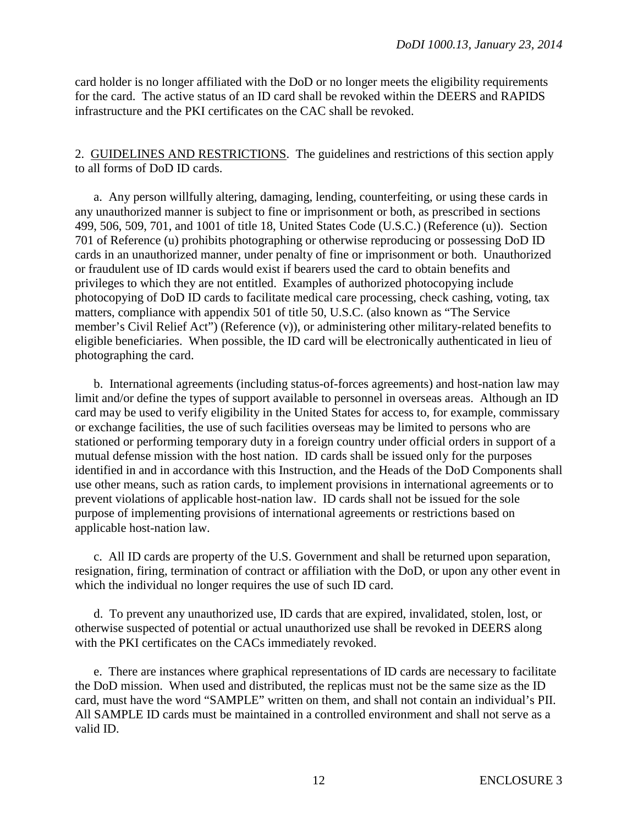card holder is no longer affiliated with the DoD or no longer meets the eligibility requirements for the card. The active status of an ID card shall be revoked within the DEERS and RAPIDS infrastructure and the PKI certificates on the CAC shall be revoked.

2. GUIDELINES AND RESTRICTIONS. The guidelines and restrictions of this section apply to all forms of DoD ID cards.

a. Any person willfully altering, damaging, lending, counterfeiting, or using these cards in any unauthorized manner is subject to fine or imprisonment or both, as prescribed in sections 499, 506, 509, 701, and 1001 of title 18, United States Code (U.S.C.) (Reference (u)). Section 701 of Reference (u) prohibits photographing or otherwise reproducing or possessing DoD ID cards in an unauthorized manner, under penalty of fine or imprisonment or both. Unauthorized or fraudulent use of ID cards would exist if bearers used the card to obtain benefits and privileges to which they are not entitled. Examples of authorized photocopying include photocopying of DoD ID cards to facilitate medical care processing, check cashing, voting, tax matters, compliance with appendix 501 of title 50, U.S.C. (also known as "The Service member's Civil Relief Act") (Reference (v)), or administering other military-related benefits to eligible beneficiaries. When possible, the ID card will be electronically authenticated in lieu of photographing the card.

b. International agreements (including status-of-forces agreements) and host-nation law may limit and/or define the types of support available to personnel in overseas areas. Although an ID card may be used to verify eligibility in the United States for access to, for example, commissary or exchange facilities, the use of such facilities overseas may be limited to persons who are stationed or performing temporary duty in a foreign country under official orders in support of a mutual defense mission with the host nation. ID cards shall be issued only for the purposes identified in and in accordance with this Instruction, and the Heads of the DoD Components shall use other means, such as ration cards, to implement provisions in international agreements or to prevent violations of applicable host-nation law. ID cards shall not be issued for the sole purpose of implementing provisions of international agreements or restrictions based on applicable host-nation law.

c. All ID cards are property of the U.S. Government and shall be returned upon separation, resignation, firing, termination of contract or affiliation with the DoD, or upon any other event in which the individual no longer requires the use of such ID card.

d. To prevent any unauthorized use, ID cards that are expired, invalidated, stolen, lost, or otherwise suspected of potential or actual unauthorized use shall be revoked in DEERS along with the PKI certificates on the CACs immediately revoked.

e. There are instances where graphical representations of ID cards are necessary to facilitate the DoD mission. When used and distributed, the replicas must not be the same size as the ID card, must have the word "SAMPLE" written on them, and shall not contain an individual's PII. All SAMPLE ID cards must be maintained in a controlled environment and shall not serve as a valid ID.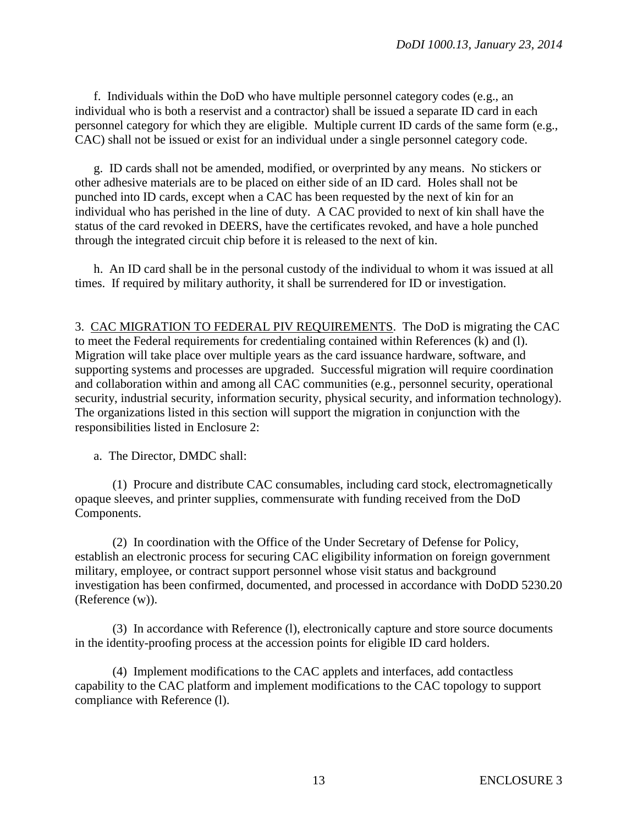f. Individuals within the DoD who have multiple personnel category codes (e.g., an individual who is both a reservist and a contractor) shall be issued a separate ID card in each personnel category for which they are eligible. Multiple current ID cards of the same form (e.g., CAC) shall not be issued or exist for an individual under a single personnel category code.

g. ID cards shall not be amended, modified, or overprinted by any means. No stickers or other adhesive materials are to be placed on either side of an ID card. Holes shall not be punched into ID cards, except when a CAC has been requested by the next of kin for an individual who has perished in the line of duty. A CAC provided to next of kin shall have the status of the card revoked in DEERS, have the certificates revoked, and have a hole punched through the integrated circuit chip before it is released to the next of kin.

h. An ID card shall be in the personal custody of the individual to whom it was issued at all times. If required by military authority, it shall be surrendered for ID or investigation.

3. CAC MIGRATION TO FEDERAL PIV REQUIREMENTS. The DoD is migrating the CAC to meet the Federal requirements for credentialing contained within References (k) and (l). Migration will take place over multiple years as the card issuance hardware, software, and supporting systems and processes are upgraded. Successful migration will require coordination and collaboration within and among all CAC communities (e.g., personnel security, operational security, industrial security, information security, physical security, and information technology). The organizations listed in this section will support the migration in conjunction with the responsibilities listed in Enclosure 2:

a. The Director, DMDC shall:

(1) Procure and distribute CAC consumables, including card stock, electromagnetically opaque sleeves, and printer supplies, commensurate with funding received from the DoD Components.

(2) In coordination with the Office of the Under Secretary of Defense for Policy, establish an electronic process for securing CAC eligibility information on foreign government military, employee, or contract support personnel whose visit status and background investigation has been confirmed, documented, and processed in accordance with DoDD 5230.20 (Reference (w)).

(3) In accordance with Reference (l), electronically capture and store source documents in the identity-proofing process at the accession points for eligible ID card holders.

(4) Implement modifications to the CAC applets and interfaces, add contactless capability to the CAC platform and implement modifications to the CAC topology to support compliance with Reference (l).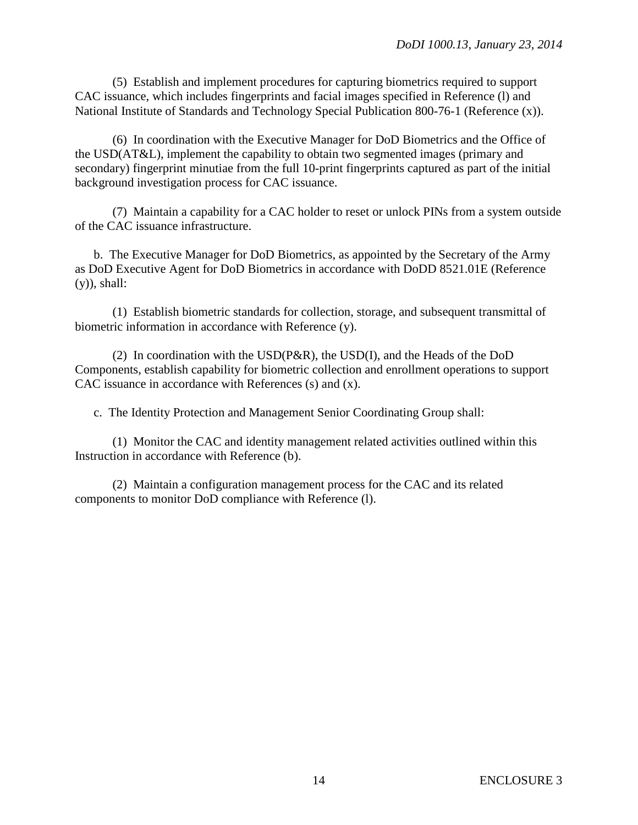(5) Establish and implement procedures for capturing biometrics required to support CAC issuance, which includes fingerprints and facial images specified in Reference (l) and National Institute of Standards and Technology Special Publication 800-76-1 (Reference (x)).

(6) In coordination with the Executive Manager for DoD Biometrics and the Office of the USD(AT&L), implement the capability to obtain two segmented images (primary and secondary) fingerprint minutiae from the full 10-print fingerprints captured as part of the initial background investigation process for CAC issuance.

(7) Maintain a capability for a CAC holder to reset or unlock PINs from a system outside of the CAC issuance infrastructure.

b. The Executive Manager for DoD Biometrics, as appointed by the Secretary of the Army as DoD Executive Agent for DoD Biometrics in accordance with DoDD 8521.01E (Reference (y)), shall:

(1) Establish biometric standards for collection, storage, and subsequent transmittal of biometric information in accordance with Reference (y).

(2) In coordination with the USD(P&R), the USD(I), and the Heads of the DoD Components, establish capability for biometric collection and enrollment operations to support CAC issuance in accordance with References (s) and (x).

c. The Identity Protection and Management Senior Coordinating Group shall:

(1) Monitor the CAC and identity management related activities outlined within this Instruction in accordance with Reference (b).

(2) Maintain a configuration management process for the CAC and its related components to monitor DoD compliance with Reference (l).